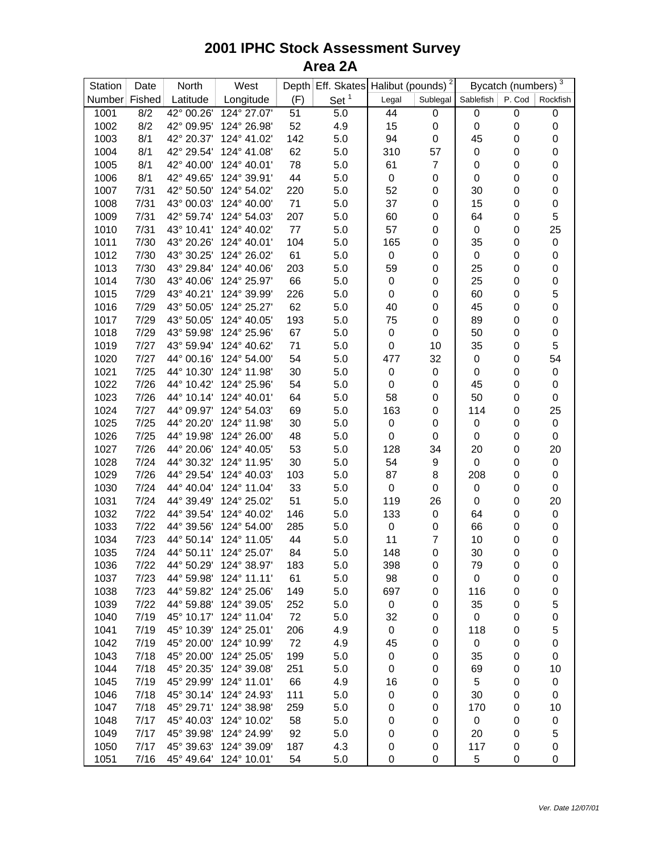## **2001 IPHC Stock Assessment Survey Area 2A**

| Station       | Date | North      | West        |           | Depth Eff. Skates Halibut (pounds) <sup>2</sup> |             |                  | Bycatch (numbers) <sup>3</sup> |                  |                  |
|---------------|------|------------|-------------|-----------|-------------------------------------------------|-------------|------------------|--------------------------------|------------------|------------------|
| Number Fished |      | Latitude   | Longitude   | (F)       | Set <sup>1</sup>                                | Legal       | Sublegal         | Sablefish                      | P. Cod           | Rockfish         |
| 1001          | 8/2  | 42° 00.26' | 124° 27.07' | 51        | 5.0                                             | 44          | 0                | 0                              | $\mathsf 0$      | $\boldsymbol{0}$ |
| 1002          | 8/2  | 42° 09.95' | 124° 26.98' | 52        | 4.9                                             | 15          | $\pmb{0}$        | $\boldsymbol{0}$               | $\boldsymbol{0}$ | $\pmb{0}$        |
| 1003          | 8/1  | 42° 20.37' | 124° 41.02' | 142       | 5.0                                             | 94          | $\pmb{0}$        | 45                             | $\mathbf 0$      | $\boldsymbol{0}$ |
| 1004          | 8/1  | 42° 29.54' | 124° 41.08' | 62        | 5.0                                             | 310         | 57               | $\boldsymbol{0}$               | 0                | $\pmb{0}$        |
| 1005          | 8/1  | 42° 40.00' | 124° 40.01' | 78        | 5.0                                             | 61          | $\overline{7}$   | $\boldsymbol{0}$               | 0                | $\pmb{0}$        |
| 1006          | 8/1  | 42° 49.65' | 124° 39.91' | 44        | 5.0                                             | 0           | 0                | 0                              | 0                | $\pmb{0}$        |
| 1007          | 7/31 | 42° 50.50' | 124° 54.02' | 220       | 5.0                                             | 52          | 0                | 30                             | 0                | $\pmb{0}$        |
| 1008          | 7/31 | 43° 00.03' | 124° 40.00' | 71        | 5.0                                             | 37          | 0                | 15                             | 0                | $\pmb{0}$        |
| 1009          | 7/31 | 42° 59.74' | 124° 54.03' | 207       | 5.0                                             | 60          | 0                | 64                             | 0                | 5                |
| 1010          | 7/31 | 43° 10.41' | 124° 40.02' | 77        | 5.0                                             | 57          | 0                | $\boldsymbol{0}$               | 0                | 25               |
| 1011          | 7/30 | 43° 20.26' | 124° 40.01' | 104       | 5.0                                             | 165         | 0                | 35                             | $\mathbf 0$      | $\mathbf 0$      |
| 1012          | 7/30 | 43° 30.25' | 124° 26.02' | 61        | 5.0                                             | 0           | 0                | $\pmb{0}$                      | $\mathbf 0$      | $\pmb{0}$        |
| 1013          | 7/30 | 43° 29.84' | 124° 40.06' | 203       | 5.0                                             | 59          | 0                | 25                             | 0                | $\pmb{0}$        |
| 1014          | 7/30 | 43° 40.06' | 124° 25.97' | 66        | 5.0                                             | 0           | 0                | 25                             | 0                | $\pmb{0}$        |
| 1015          | 7/29 | 43° 40.21' | 124° 39.99' | 226       | 5.0                                             | 0           | 0                | 60                             | 0                | 5                |
| 1016          | 7/29 | 43° 50.05' | 124° 25.27' | 62        | 5.0                                             | 40          | 0                | 45                             | 0                | $\mathbf 0$      |
| 1017          | 7/29 | 43° 50.05' | 124° 40.05' | 193       | 5.0                                             | 75          | 0                | 89                             | 0                | $\pmb{0}$        |
| 1018          | 7/29 | 43° 59.98' | 124° 25.96' | 67        | 5.0                                             | 0           | 0                | 50                             | $\boldsymbol{0}$ | $\mathbf 0$      |
| 1019          | 7/27 | 43° 59.94' | 124° 40.62' | 71        | 5.0                                             | 0           | 10               | 35                             | 0                | 5                |
| 1020          | 7/27 | 44° 00.16' | 124° 54.00' | 54        | 5.0                                             | 477         | 32               | $\boldsymbol{0}$               | 0                | 54               |
| 1021          | 7/25 | 44° 10.30' | 124° 11.98' | 30        | 5.0                                             | 0           | $\pmb{0}$        | 0                              | $\boldsymbol{0}$ | $\mathbf 0$      |
| 1022          | 7/26 | 44° 10.42' | 124° 25.96' | 54        | 5.0                                             | 0           | 0                | 45                             | 0                | $\pmb{0}$        |
| 1023          | 7/26 | 44° 10.14' | 124° 40.01' | 64        | 5.0                                             | 58          | 0                | 50                             | 0                | $\mathbf 0$      |
| 1024          | 7/27 | 44° 09.97' | 124° 54.03' | 69        | 5.0                                             | 163         | 0                | 114                            | $\boldsymbol{0}$ | 25               |
| 1025          | 7/25 | 44° 20.20' | 124° 11.98' | 30        | 5.0                                             | 0           | 0                | 0                              | $\boldsymbol{0}$ | $\mathbf 0$      |
| 1026          | 7/25 | 44° 19.98' | 124° 26.00' | 48        | 5.0                                             | 0           | 0                | 0                              | 0                | $\pmb{0}$        |
| 1027          | 7/26 | 44° 20.06' | 124° 40.05' | 53        | 5.0                                             | 128         | 34               | 20                             | $\boldsymbol{0}$ | 20               |
| 1028          | 7/24 | 44° 30.32' | 124° 11.95' | 30        | 5.0                                             | 54          | $\boldsymbol{9}$ | $\pmb{0}$                      | $\boldsymbol{0}$ | $\mathbf 0$      |
| 1029          | 7/26 | 44° 29.54' | 124° 40.03' | 103       | 5.0                                             | 87          | 8                | 208                            | 0                | $\pmb{0}$        |
| 1030          | 7/24 | 44° 40.04' | 124° 11.04' | 33        | 5.0                                             | 0           | 0                | $\boldsymbol{0}$               | 0                | $\pmb{0}$        |
| 1031          | 7/24 | 44° 39.49' | 124° 25.02' | 51        | 5.0                                             | 119         | 26               | $\boldsymbol{0}$               | $\mathbf 0$      | 20               |
| 1032          | 7/22 | 44° 39.54' | 124° 40.02' | 146       | 5.0                                             | 133         | $\pmb{0}$        | 64                             | $\mathbf 0$      | $\mathbf 0$      |
| 1033          | 7/22 | 44° 39.56' | 124° 54.00' | 285       | 5.0                                             | 0           | 0                | 66                             | 0                | $\boldsymbol{0}$ |
| 1034          | 7/23 | 44° 50.14' | 124° 11.05' | 44        | 5.0                                             | 11          | $\overline{7}$   | 10                             | 0                | $\pmb{0}$        |
| 1035          | 7/24 | 44° 50.11' | 124° 25.07' | 84        | 5.0                                             | 148         | 0                | 30                             | $\mathbf 0$      | $\mathbf 0$      |
| 1036          | 7/22 | 44° 50.29' | 124° 38.97' | 183       | 5.0                                             | 398         | 0                | 79                             | 0                | 0                |
| 1037          | 7/23 | 44° 59.98' | 124° 11.11' | 61        | 5.0                                             | 98          | 0                | 0                              | 0                | 0                |
| 1038          | 7/23 | 44° 59.82' | 124° 25.06' | 149       | 5.0                                             | 697         | 0                | 116                            | 0                | 0                |
| 1039          | 7/22 | 44° 59.88' | 124° 39.05' | 252       | 5.0                                             | $\pmb{0}$   | 0                | 35                             | 0                | 5                |
| 1040          | 7/19 | 45° 10.17' | 124° 11.04' | 72        | 5.0                                             | 32          | 0                | $\pmb{0}$                      | 0                | $\pmb{0}$        |
| 1041          | 7/19 | 45° 10.39' | 124° 25.01' | 206       | 4.9                                             | $\mathbf 0$ | 0                | 118                            | 0                | 5                |
| 1042          | 7/19 | 45° 20.00' | 124° 10.99' | 72        | 4.9                                             | 45          | 0                | 0                              | 0                | $\boldsymbol{0}$ |
| 1043          | 7/18 | 45° 20.00' | 124° 25.05' | 199       | 5.0                                             | 0           | 0                | 35                             | 0                | 0                |
| 1044          | 7/18 | 45° 20.35' | 124° 39.08' |           |                                                 |             |                  | 69                             | 0                |                  |
| 1045          | 7/19 | 45° 29.99' | 124° 11.01' | 251<br>66 | 5.0                                             | 0           | 0                | 5                              | 0                | 10<br>0          |
| 1046          | 7/18 | 45° 30.14' | 124° 24.93' |           | 4.9                                             | 16          | 0                |                                | 0                |                  |
|               | 7/18 | 45° 29.71' | 124° 38.98' | 111       | 5.0                                             | 0           | 0                | 30                             |                  | 0                |
| 1047          |      | 45° 40.03' | 124° 10.02' | 259       | 5.0                                             | 0           | 0                | 170                            | 0                | 10               |
| 1048          | 7/17 | 45° 39.98' | 124° 24.99' | 58        | 5.0                                             | 0           | 0                | $\pmb{0}$                      | 0                | $\pmb{0}$        |
| 1049          | 7/17 |            |             | 92        | 5.0                                             | 0           | 0                | 20                             | 0                | 5                |
| 1050          | 7/17 | 45° 39.63' | 124° 39.09' | 187       | 4.3                                             | 0           | 0                | 117                            | 0                | 0                |
| 1051          | 7/16 | 45° 49.64' | 124° 10.01' | 54        | 5.0                                             | 0           | 0                | 5                              | 0                | 0                |